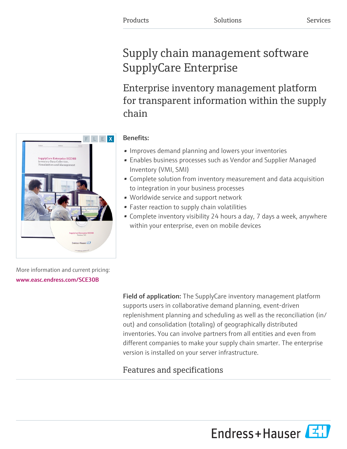# Supply chain management software SupplyCare Enterprise

Enterprise inventory management platform for transparent information within the supply chain



# Benefits:

- Improves demand planning and lowers your inventories
- Enables business processes such as Vendor and Supplier Managed Inventory (VMI, SMI)
- Complete solution from inventory measurement and data acquisition to integration in your business processes
- Worldwide service and support network
- Faster reaction to supply chain volatilities
- Complete inventory visibility 24 hours a day, 7 days a week, anywhere within your enterprise, even on mobile devices

More information and current pricing: [www.easc.endress.com/SCE30B](https://www.easc.endress.com/SCE30B)

> Field of application: The SupplyCare inventory management platform supports users in collaborative demand planning, event-driven replenishment planning and scheduling as well as the reconciliation (in/ out) and consolidation (totaling) of geographically distributed inventories. You can involve partners from all entities and even from different companies to make your supply chain smarter. The enterprise version is installed on your server infrastructure.

# Features and specifications

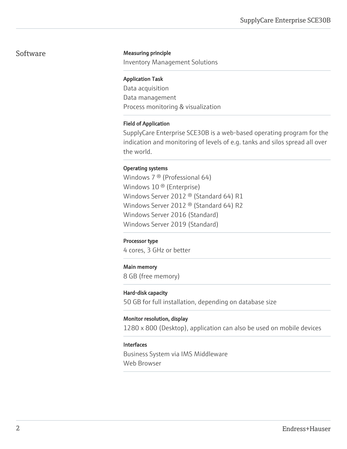#### Software **Measuring principle**

Inventory Management Solutions

#### Application Task

Data acquisition Data management Process monitoring & visualization

#### Field of Application

SupplyCare Enterprise SCE30B is a web-based operating program for the indication and monitoring of levels of e.g. tanks and silos spread all over the world.

#### Operating systems

Windows 7 ® (Professional 64) Windows 10<sup>®</sup> (Enterprise) Windows Server 2012 ® (Standard 64) R1 Windows Server 2012 ® (Standard 64) R2 Windows Server 2016 (Standard) Windows Server 2019 (Standard)

#### Processor type

4 cores, 3 GHz or better

#### Main memory

8 GB (free memory)

#### Hard-disk capacity

50 GB for full installation, depending on database size

#### Monitor resolution, display

1280 x 800 (Desktop), application can also be used on mobile devices

#### Interfaces

Business System via IMS Middleware Web Browser